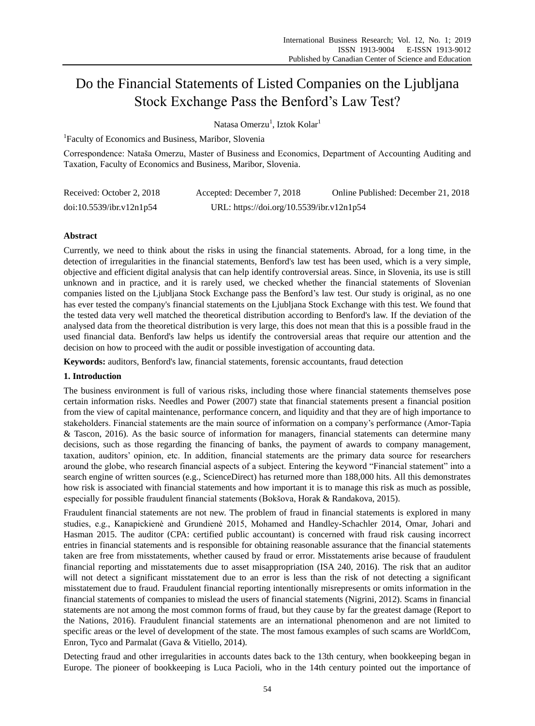# Do the Financial Statements of Listed Companies on the Ljubljana Stock Exchange Pass the Benford's Law Test?

Natasa Omerzu<sup>1</sup>, Iztok Kolar<sup>1</sup>

<sup>1</sup>Faculty of Economics and Business, Maribor, Slovenia

Correspondence: Nataša Omerzu, Master of Business and Economics, Department of Accounting Auditing and Taxation, Faculty of Economics and Business, Maribor, Slovenia.

| Received: October 2, 2018 | Accepted: December 7, 2018                | Online Published: December 21, 2018 |
|---------------------------|-------------------------------------------|-------------------------------------|
| doi:10.5539/ibr.v12n1p54  | URL: https://doi.org/10.5539/ibr.v12n1p54 |                                     |

## **Abstract**

Currently, we need to think about the risks in using the financial statements. Abroad, for a long time, in the detection of irregularities in the financial statements, Benford's law test has been used, which is a very simple, objective and efficient digital analysis that can help identify controversial areas. Since, in Slovenia, its use is still unknown and in practice, and it is rarely used, we checked whether the financial statements of Slovenian companies listed on the Ljubljana Stock Exchange pass the Benford's law test. Our study is original, as no one has ever tested the company's financial statements on the Ljubljana Stock Exchange with this test. We found that the tested data very well matched the theoretical distribution according to Benford's law. If the deviation of the analysed data from the theoretical distribution is very large, this does not mean that this is a possible fraud in the used financial data. Benford's law helps us identify the controversial areas that require our attention and the decision on how to proceed with the audit or possible investigation of accounting data.

**Keywords:** auditors, Benford's law, financial statements, forensic accountants, fraud detection

## **1. Introduction**

The business environment is full of various risks, including those where financial statements themselves pose certain information risks. Needles and Power (2007) state that financial statements present a financial position from the view of capital maintenance, performance concern, and liquidity and that they are of high importance to stakeholders. Financial statements are the main source of information on a company's performance (Amor-Tapia & Tascon, 2016). As the basic source of information for managers, financial statements can determine many decisions, such as those regarding the financing of banks, the payment of awards to company management, taxation, auditors' opinion, etc. In addition, financial statements are the primary data source for researchers around the globe, who research financial aspects of a subject. Entering the keyword "Financial statement" into a search engine of written sources (e.g., ScienceDirect) has returned more than 188,000 hits. All this demonstrates how risk is associated with financial statements and how important it is to manage this risk as much as possible, especially for possible fraudulent financial statements (Bokšova, Horak & Randakova, 2015).

Fraudulent financial statements are not new. The problem of fraud in financial statements is explored in many studies, e.g., Kanapickienė and Grundienė 2015, Mohamed and Handley-Schachler 2014, Omar, Johari and Hasman 2015. The auditor (CPA: certified public accountant) is concerned with fraud risk causing incorrect entries in financial statements and is responsible for obtaining reasonable assurance that the financial statements taken are free from misstatements, whether caused by fraud or error. Misstatements arise because of fraudulent financial reporting and misstatements due to asset misappropriation (ISA 240, 2016). The risk that an auditor will not detect a significant misstatement due to an error is less than the risk of not detecting a significant misstatement due to fraud. Fraudulent financial reporting intentionally misrepresents or omits information in the financial statements of companies to mislead the users of financial statements (Nigrini, 2012). Scams in financial statements are not among the most common forms of fraud, but they cause by far the greatest damage (Report to the Nations, 2016). Fraudulent financial statements are an international phenomenon and are not limited to specific areas or the level of development of the state. The most famous examples of such scams are WorldCom, Enron, Tyco and Parmalat (Gava & Vitiello, 2014).

Detecting fraud and other irregularities in accounts dates back to the 13th century, when bookkeeping began in Europe. The pioneer of bookkeeping is Luca Pacioli, who in the 14th century pointed out the importance of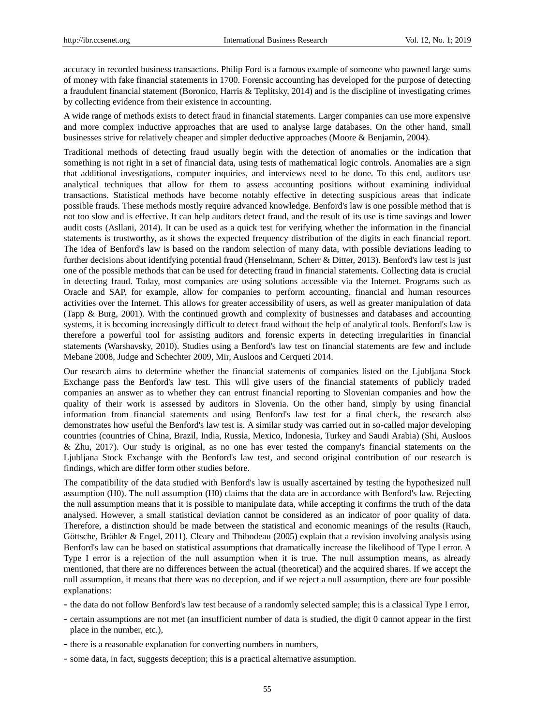accuracy in recorded business transactions. Philip Ford is a famous example of someone who pawned large sums of money with fake financial statements in 1700. Forensic accounting has developed for the purpose of detecting a fraudulent financial statement (Boronico, Harris & Teplitsky, 2014) and is the discipline of investigating crimes by collecting evidence from their existence in accounting.

A wide range of methods exists to detect fraud in financial statements. Larger companies can use more expensive and more complex inductive approaches that are used to analyse large databases. On the other hand, small businesses strive for relatively cheaper and simpler deductive approaches (Moore & Benjamin, 2004).

Traditional methods of detecting fraud usually begin with the detection of anomalies or the indication that something is not right in a set of financial data, using tests of mathematical logic controls. Anomalies are a sign that additional investigations, computer inquiries, and interviews need to be done. To this end, auditors use analytical techniques that allow for them to assess accounting positions without examining individual transactions. Statistical methods have become notably effective in detecting suspicious areas that indicate possible frauds. These methods mostly require advanced knowledge. Benford's law is one possible method that is not too slow and is effective. It can help auditors detect fraud, and the result of its use is time savings and lower audit costs (Asllani, 2014). It can be used as a quick test for verifying whether the information in the financial statements is trustworthy, as it shows the expected frequency distribution of the digits in each financial report. The idea of Benford's law is based on the random selection of many data, with possible deviations leading to further decisions about identifying potential fraud (Henselmann, Scherr & Ditter, 2013). Benford's law test is just one of the possible methods that can be used for detecting fraud in financial statements. Collecting data is crucial in detecting fraud. Today, most companies are using solutions accessible via the Internet. Programs such as Oracle and SAP, for example, allow for companies to perform accounting, financial and human resources activities over the Internet. This allows for greater accessibility of users, as well as greater manipulation of data (Tapp & Burg, 2001). With the continued growth and complexity of businesses and databases and accounting systems, it is becoming increasingly difficult to detect fraud without the help of analytical tools. Benford's law is therefore a powerful tool for assisting auditors and forensic experts in detecting irregularities in financial statements (Warshavsky, 2010). Studies using a Benford's law test on financial statements are few and include Mebane 2008, Judge and Schechter 2009, Mir, Ausloos and Cerqueti 2014.

Our research aims to determine whether the financial statements of companies listed on the Ljubljana Stock Exchange pass the Benford's law test. This will give users of the financial statements of publicly traded companies an answer as to whether they can entrust financial reporting to Slovenian companies and how the quality of their work is assessed by auditors in Slovenia. On the other hand, simply by using financial information from financial statements and using Benford's law test for a final check, the research also demonstrates how useful the Benford's law test is. A similar study was carried out in so-called major developing countries (countries of China, Brazil, India, Russia, Mexico, Indonesia, Turkey and Saudi Arabia) (Shi, Ausloos & Zhu, 2017). Our study is original, as no one has ever tested the company's financial statements on the Ljubljana Stock Exchange with the Benford's law test, and second original contribution of our research is findings, which are differ form other studies before.

The compatibility of the data studied with Benford's law is usually ascertained by testing the hypothesized null assumption (H0). The null assumption (H0) claims that the data are in accordance with Benford's law. Rejecting the null assumption means that it is possible to manipulate data, while accepting it confirms the truth of the data analysed. However, a small statistical deviation cannot be considered as an indicator of poor quality of data. Therefore, a distinction should be made between the statistical and economic meanings of the results (Rauch, Göttsche, Brähler & Engel, 2011). Cleary and Thibodeau (2005) explain that a revision involving analysis using Benford's law can be based on statistical assumptions that dramatically increase the likelihood of Type I error. A Type I error is a rejection of the null assumption when it is true. The null assumption means, as already mentioned, that there are no differences between the actual (theoretical) and the acquired shares. If we accept the null assumption, it means that there was no deception, and if we reject a null assumption, there are four possible explanations:

- the data do not follow Benford's law test because of a randomly selected sample; this is a classical Type I error,
- certain assumptions are not met (an insufficient number of data is studied, the digit 0 cannot appear in the first place in the number, etc.),
- there is a reasonable explanation for converting numbers in numbers,
- some data, in fact, suggests deception; this is a practical alternative assumption.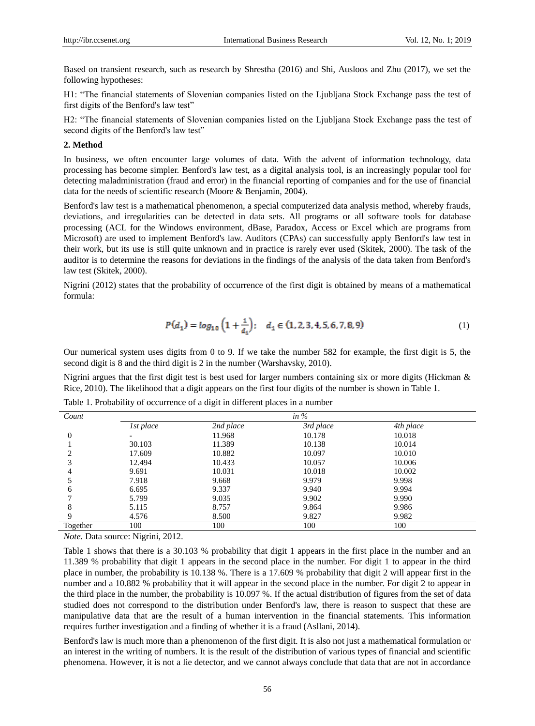Based on transient research, such as research by Shrestha (2016) and Shi, Ausloos and Zhu (2017), we set the following hypotheses:

H1: "The financial statements of Slovenian companies listed on the Ljubljana Stock Exchange pass the test of first digits of the Benford's law test"

H2: "The financial statements of Slovenian companies listed on the Ljubljana Stock Exchange pass the test of second digits of the Benford's law test"

#### **2. Method**

In business, we often encounter large volumes of data. With the advent of information technology, data processing has become simpler. Benford's law test, as a digital analysis tool, is an increasingly popular tool for detecting maladministration (fraud and error) in the financial reporting of companies and for the use of financial data for the needs of scientific research (Moore & Benjamin, 2004).

Benford's law test is a mathematical phenomenon, a special computerized data analysis method, whereby frauds, deviations, and irregularities can be detected in data sets. All programs or all software tools for database processing (ACL for the Windows environment, dBase, Paradox, Access or Excel which are programs from Microsoft) are used to implement Benford's law. Auditors (CPAs) can successfully apply Benford's law test in their work, but its use is still quite unknown and in practice is rarely ever used (Skitek, 2000). The task of the auditor is to determine the reasons for deviations in the findings of the analysis of the data taken from Benford's law test (Skitek, 2000).

Nigrini (2012) states that the probability of occurrence of the first digit is obtained by means of a mathematical formula:

$$
P(d_1) = \log_{10} \left( 1 + \frac{1}{d_1} \right); \quad d_1 \in (1, 2, 3, 4, 5, 6, 7, 8, 9) \tag{1}
$$

Our numerical system uses digits from 0 to 9. If we take the number 582 for example, the first digit is 5, the second digit is 8 and the third digit is 2 in the number (Warshavsky, 2010).

Nigrini argues that the first digit test is best used for larger numbers containing six or more digits (Hickman & Rice, 2010). The likelihood that a digit appears on the first four digits of the number is shown in Table 1.

| Count    | in $%$                   |           |           |           |  |
|----------|--------------------------|-----------|-----------|-----------|--|
|          | 1st place                | 2nd place | 3rd place | 4th place |  |
|          | $\overline{\phantom{0}}$ | 11.968    | 10.178    | 10.018    |  |
|          | 30.103                   | 11.389    | 10.138    | 10.014    |  |
|          | 17.609                   | 10.882    | 10.097    | 10.010    |  |
| 3        | 12.494                   | 10.433    | 10.057    | 10.006    |  |
|          | 9.691                    | 10.031    | 10.018    | 10.002    |  |
|          | 7.918                    | 9.668     | 9.979     | 9.998     |  |
| 6        | 6.695                    | 9.337     | 9.940     | 9.994     |  |
|          | 5.799                    | 9.035     | 9.902     | 9.990     |  |
| 8        | 5.115                    | 8.757     | 9.864     | 9.986     |  |
| Q        | 4.576                    | 8.500     | 9.827     | 9.982     |  |
| Together | 100                      | 100       | 100       | 100       |  |

Table 1. Probability of occurrence of a digit in different places in a number

*Note.* Data source: Nigrini, 2012.

Table 1 shows that there is a 30.103 % probability that digit 1 appears in the first place in the number and an 11.389 % probability that digit 1 appears in the second place in the number. For digit 1 to appear in the third place in number, the probability is 10.138 %. There is a 17.609 % probability that digit 2 will appear first in the number and a 10.882 % probability that it will appear in the second place in the number. For digit 2 to appear in the third place in the number, the probability is 10.097 %. If the actual distribution of figures from the set of data studied does not correspond to the distribution under Benford's law, there is reason to suspect that these are manipulative data that are the result of a human intervention in the financial statements. This information requires further investigation and a finding of whether it is a fraud (Asllani, 2014).

Benford's law is much more than a phenomenon of the first digit. It is also not just a mathematical formulation or an interest in the writing of numbers. It is the result of the distribution of various types of financial and scientific phenomena. However, it is not a lie detector, and we cannot always conclude that data that are not in accordance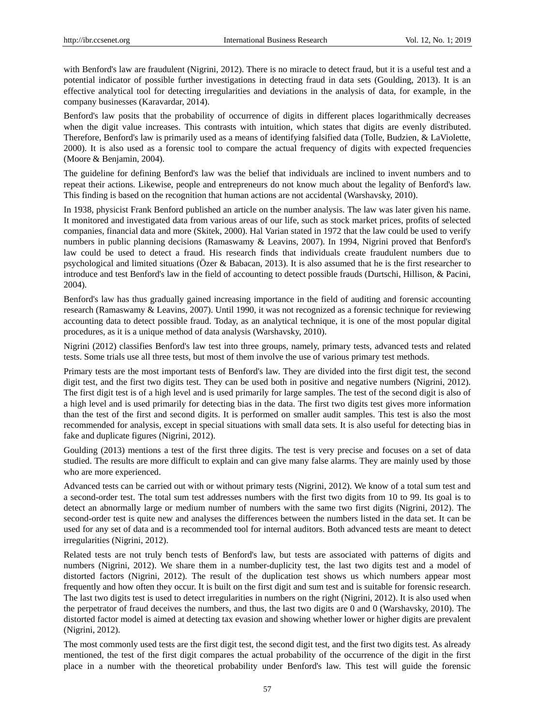with Benford's law are fraudulent (Nigrini, 2012). There is no miracle to detect fraud, but it is a useful test and a potential indicator of possible further investigations in detecting fraud in data sets (Goulding, 2013). It is an effective analytical tool for detecting irregularities and deviations in the analysis of data, for example, in the company businesses (Karavardar, 2014).

Benford's law posits that the probability of occurrence of digits in different places logarithmically decreases when the digit value increases. This contrasts with intuition, which states that digits are evenly distributed. Therefore, Benford's law is primarily used as a means of identifying falsified data (Tolle, Budzien, & LaViolette, 2000). It is also used as a forensic tool to compare the actual frequency of digits with expected frequencies (Moore & Benjamin, 2004).

The guideline for defining Benford's law was the belief that individuals are inclined to invent numbers and to repeat their actions. Likewise, people and entrepreneurs do not know much about the legality of Benford's law. This finding is based on the recognition that human actions are not accidental (Warshavsky, 2010).

In 1938, physicist Frank Benford published an article on the number analysis. The law was later given his name. It monitored and investigated data from various areas of our life, such as stock market prices, profits of selected companies, financial data and more (Skitek, 2000). Hal Varian stated in 1972 that the law could be used to verify numbers in public planning decisions (Ramaswamy & Leavins, 2007). In 1994, Nigrini proved that Benford's law could be used to detect a fraud. His research finds that individuals create fraudulent numbers due to psychological and limited situations (Özer & Babacan, 2013). It is also assumed that he is the first researcher to introduce and test Benford's law in the field of accounting to detect possible frauds (Durtschi, Hillison, & Pacini, 2004).

Benford's law has thus gradually gained increasing importance in the field of auditing and forensic accounting research (Ramaswamy & Leavins, 2007). Until 1990, it was not recognized as a forensic technique for reviewing accounting data to detect possible fraud. Today, as an analytical technique, it is one of the most popular digital procedures, as it is a unique method of data analysis (Warshavsky, 2010).

Nigrini (2012) classifies Benford's law test into three groups, namely, primary tests, advanced tests and related tests. Some trials use all three tests, but most of them involve the use of various primary test methods.

Primary tests are the most important tests of Benford's law. They are divided into the first digit test, the second digit test, and the first two digits test. They can be used both in positive and negative numbers (Nigrini, 2012). The first digit test is of a high level and is used primarily for large samples. The test of the second digit is also of a high level and is used primarily for detecting bias in the data. The first two digits test gives more information than the test of the first and second digits. It is performed on smaller audit samples. This test is also the most recommended for analysis, except in special situations with small data sets. It is also useful for detecting bias in fake and duplicate figures (Nigrini, 2012).

Goulding (2013) mentions a test of the first three digits. The test is very precise and focuses on a set of data studied. The results are more difficult to explain and can give many false alarms. They are mainly used by those who are more experienced.

Advanced tests can be carried out with or without primary tests (Nigrini, 2012). We know of a total sum test and a second-order test. The total sum test addresses numbers with the first two digits from 10 to 99. Its goal is to detect an abnormally large or medium number of numbers with the same two first digits (Nigrini, 2012). The second-order test is quite new and analyses the differences between the numbers listed in the data set. It can be used for any set of data and is a recommended tool for internal auditors. Both advanced tests are meant to detect irregularities (Nigrini, 2012).

Related tests are not truly bench tests of Benford's law, but tests are associated with patterns of digits and numbers (Nigrini, 2012). We share them in a number-duplicity test, the last two digits test and a model of distorted factors (Nigrini, 2012). The result of the duplication test shows us which numbers appear most frequently and how often they occur. It is built on the first digit and sum test and is suitable for forensic research. The last two digits test is used to detect irregularities in numbers on the right (Nigrini, 2012). It is also used when the perpetrator of fraud deceives the numbers, and thus, the last two digits are 0 and 0 (Warshavsky, 2010). The distorted factor model is aimed at detecting tax evasion and showing whether lower or higher digits are prevalent (Nigrini, 2012).

The most commonly used tests are the first digit test, the second digit test, and the first two digits test. As already mentioned, the test of the first digit compares the actual probability of the occurrence of the digit in the first place in a number with the theoretical probability under Benford's law. This test will guide the forensic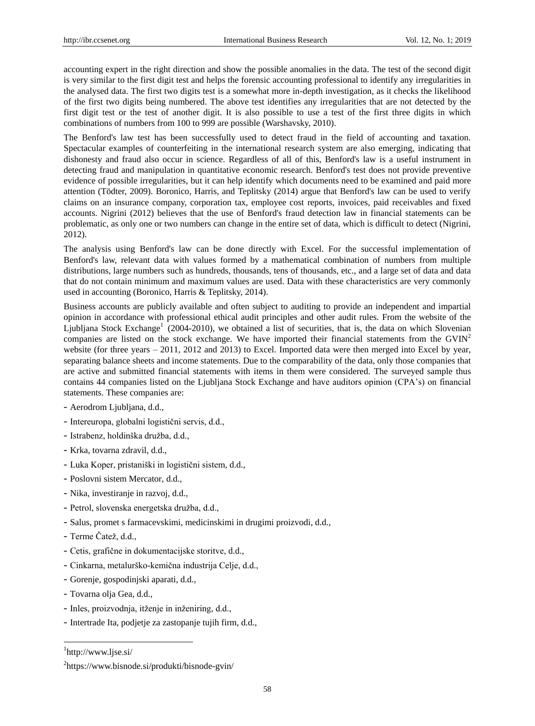accounting expert in the right direction and show the possible anomalies in the data. The test of the second digit is very similar to the first digit test and helps the forensic accounting professional to identify any irregularities in the analysed data. The first two digits test is a somewhat more in-depth investigation, as it checks the likelihood of the first two digits being numbered. The above test identifies any irregularities that are not detected by the first digit test or the test of another digit. It is also possible to use a test of the first three digits in which combinations of numbers from 100 to 999 are possible (Warshavsky, 2010).

The Benford's law test has been successfully used to detect fraud in the field of accounting and taxation. Spectacular examples of counterfeiting in the international research system are also emerging, indicating that dishonesty and fraud also occur in science. Regardless of all of this, Benford's law is a useful instrument in detecting fraud and manipulation in quantitative economic research. Benford's test does not provide preventive evidence of possible irregularities, but it can help identify which documents need to be examined and paid more attention (Tödter, 2009). Boronico, Harris, and Teplitsky (2014) argue that Benford's law can be used to verify claims on an insurance company, corporation tax, employee cost reports, invoices, paid receivables and fixed accounts. Nigrini (2012) believes that the use of Benford's fraud detection law in financial statements can be problematic, as only one or two numbers can change in the entire set of data, which is difficult to detect (Nigrini, 2012).

The analysis using Benford's law can be done directly with Excel. For the successful implementation of Benford's law, relevant data with values formed by a mathematical combination of numbers from multiple distributions, large numbers such as hundreds, thousands, tens of thousands, etc., and a large set of data and data that do not contain minimum and maximum values are used. Data with these characteristics are very commonly used in accounting (Boronico, Harris & Teplitsky, 2014).

Business accounts are publicly available and often subject to auditing to provide an independent and impartial opinion in accordance with professional ethical audit principles and other audit rules. From the website of the Ljubljana Stock Exchange<sup>1</sup> (2004-2010), we obtained a list of securities, that is, the data on which Slovenian companies are listed on the stock exchange. We have imported their financial statements from the  $GVIN<sup>2</sup>$ website (for three years – 2011, 2012 and 2013) to Excel. Imported data were then merged into Excel by year, separating balance sheets and income statements. Due to the comparability of the data, only those companies that are active and submitted financial statements with items in them were considered. The surveyed sample thus contains 44 companies listed on the Ljubljana Stock Exchange and have auditors opinion (CPA's) on financial statements. These companies are:

- Aerodrom Ljubljana, d.d.,
- Intereuropa, globalni logistični servis, d.d.,
- Istrabenz, holdinška družba, d.d.,
- Krka, tovarna zdravil, d.d.,
- Luka Koper, pristaniški in logistični sistem, d.d.,
- Poslovni sistem Mercator, d.d.,
- Nika, investiranje in razvoj, d.d.,
- Petrol, slovenska energetska družba, d.d.,
- Salus, promet s farmacevskimi, medicinskimi in drugimi proizvodi, d.d.,
- Terme Čatež, d.d.,
- Cetis, grafične in dokumentacijske storitve, d.d.,
- Cinkarna, metalurško-kemična industrija Celje, d.d.,
- Gorenje, gospodinjski aparati, d.d.,
- Tovarna olja Gea, d.d.,
- Inles, proizvodnja, itženje in inženiring, d.d.,
- Intertrade Ita, podjetje za zastopanje tujih firm, d.d.,

1 <http://www.ljse.si/>

-

<sup>&</sup>lt;sup>2</sup><https://www.bisnode.si/produkti/bisnode-gvin/>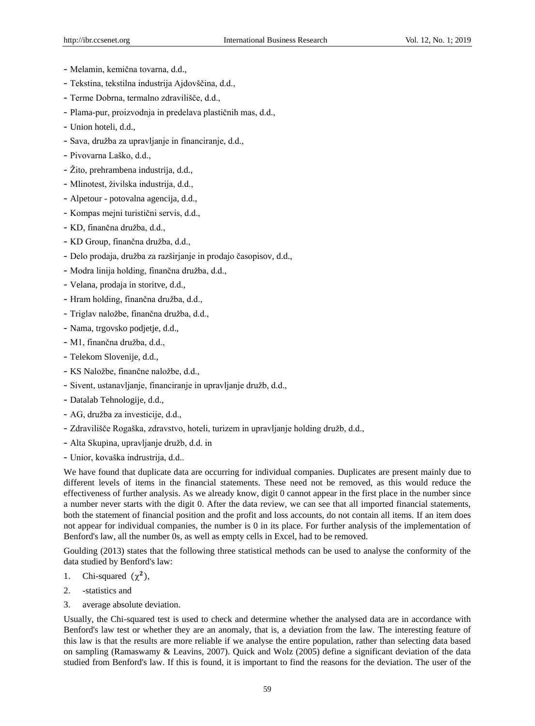- Melamin, kemična tovarna, d.d.,
- Tekstina, tekstilna industrija Ajdovščina, d.d.,
- Terme Dobrna, termalno zdravilišče, d.d.,
- Plama-pur, proizvodnja in predelava plastičnih mas, d.d.,
- Union hoteli, d.d.,
- Sava, družba za upravljanje in financiranje, d.d.,
- Pivovarna Laško, d.d.,
- Žito, prehrambena industrija, d.d.,
- Mlinotest, živilska industrija, d.d.,
- Alpetour potovalna agencija, d.d.,
- Kompas mejni turistični servis, d.d.,
- KD, finančna družba, d.d.,
- KD Group, finančna družba, d.d.,
- Delo prodaja, družba za razširjanje in prodajo časopisov, d.d.,
- Modra linija holding, finančna družba, d.d.,
- Velana, prodaja in storitve, d.d.,
- Hram holding, finančna družba, d.d.,
- Triglav naložbe, finančna družba, d.d.,
- Nama, trgovsko podjetje, d.d.,
- M1, finančna družba, d.d.,
- Telekom Slovenije, d.d.,
- KS Naložbe, finančne naložbe, d.d.,
- Sivent, ustanavljanje, financiranje in upravljanje družb, d.d.,
- Datalab Tehnologije, d.d.,
- AG, družba za investicije, d.d.,
- Zdravilišče Rogaška, zdravstvo, hoteli, turizem in upravljanje holding družb, d.d.,
- Alta Skupina, upravljanje družb, d.d. in
- Unior, kovaška indrustrija, d.d..

We have found that duplicate data are occurring for individual companies. Duplicates are present mainly due to different levels of items in the financial statements. These need not be removed, as this would reduce the effectiveness of further analysis. As we already know, digit 0 cannot appear in the first place in the number since a number never starts with the digit 0. After the data review, we can see that all imported financial statements, both the statement of financial position and the profit and loss accounts, do not contain all items. If an item does not appear for individual companies, the number is 0 in its place. For further analysis of the implementation of Benford's law, all the number 0s, as well as empty cells in Excel, had to be removed.

Goulding (2013) states that the following three statistical methods can be used to analyse the conformity of the data studied by Benford's law:

- 1. Chi-squared  $(\chi^2)$ ,
- 2. -statistics and
- 3. average absolute deviation.

Usually, the Chi-squared test is used to check and determine whether the analysed data are in accordance with Benford's law test or whether they are an anomaly, that is, a deviation from the law. The interesting feature of this law is that the results are more reliable if we analyse the entire population, rather than selecting data based on sampling (Ramaswamy & Leavins, 2007). Quick and Wolz (2005) define a significant deviation of the data studied from Benford's law. If this is found, it is important to find the reasons for the deviation. The user of the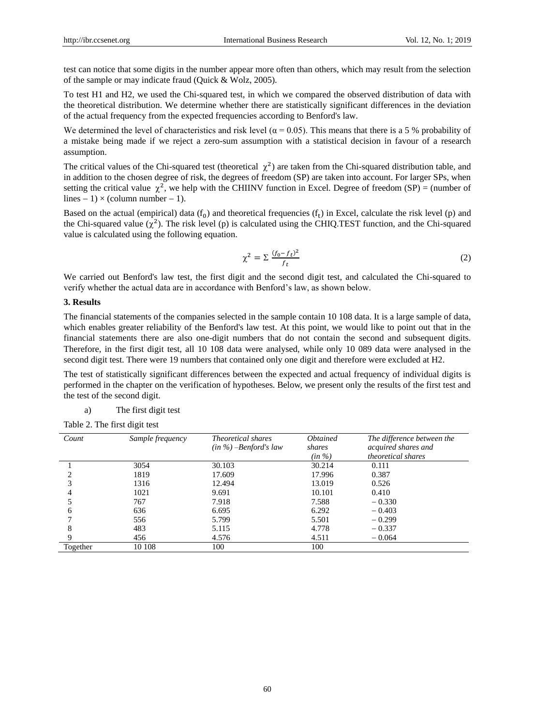test can notice that some digits in the number appear more often than others, which may result from the selection of the sample or may indicate fraud (Quick & Wolz, 2005).

To test H1 and H2, we used the Chi-squared test, in which we compared the observed distribution of data with the theoretical distribution. We determine whether there are statistically significant differences in the deviation of the actual frequency from the expected frequencies according to Benford's law.

We determined the level of characteristics and risk level ( $\alpha$  = 0.05). This means that there is a 5 % probability of a mistake being made if we reject a zero-sum assumption with a statistical decision in favour of a research assumption.

The critical values of the Chi-squared test (theoretical  $\chi^2$ ) are taken from the Chi-squared distribution table, and in addition to the chosen degree of risk, the degrees of freedom (SP) are taken into account. For larger SPs, when setting the critical value  $\chi^2$ , we help with the CHIINV function in Excel. Degree of freedom (SP) = (number of lines  $-1$ )  $\times$  (column number  $-1$ ).

Based on the actual (empirical) data  $(f_0)$  and theoretical frequencies  $(f_t)$  in Excel, calculate the risk level (p) and the Chi-squared value  $(\chi^2)$ . The risk level (p) is calculated using the CHIQ.TEST function, and the Chi-squared value is calculated using the following equation.

$$
\chi^2 = \sum \frac{(f_0 - f_t)^2}{f_t} \tag{2}
$$

We carried out Benford's law test, the first digit and the second digit test, and calculated the Chi-squared to verify whether the actual data are in accordance with Benford's law, as shown below.

#### **3. Results**

The financial statements of the companies selected in the sample contain 10 108 data. It is a large sample of data, which enables greater reliability of the Benford's law test. At this point, we would like to point out that in the financial statements there are also one-digit numbers that do not contain the second and subsequent digits. Therefore, in the first digit test, all 10 108 data were analysed, while only 10 089 data were analysed in the second digit test. There were 19 numbers that contained only one digit and therefore were excluded at H2.

The test of statistically significant differences between the expected and actual frequency of individual digits is performed in the chapter on the verification of hypotheses. Below, we present only the results of the first test and the test of the second digit.

a) The first digit test

Table 2. The first digit test

| Count    | Sample frequency | <i>Theoretical shares</i><br>$(in \%)-Benford's law$ | <i><b>Obtained</b></i><br>shares<br>$(in \%)$ | The difference between the<br>acquired shares and<br><i>theoretical shares</i> |
|----------|------------------|------------------------------------------------------|-----------------------------------------------|--------------------------------------------------------------------------------|
|          |                  |                                                      |                                               |                                                                                |
|          | 3054             | 30.103                                               | 30.214                                        | 0.111                                                                          |
|          | 1819             | 17.609                                               | 17.996                                        | 0.387                                                                          |
|          | 1316             | 12.494                                               | 13.019                                        | 0.526                                                                          |
|          | 1021             | 9.691                                                | 10.101                                        | 0.410                                                                          |
|          | 767              | 7.918                                                | 7.588                                         | $-0.330$                                                                       |
| 6        | 636              | 6.695                                                | 6.292                                         | $-0.403$                                                                       |
|          | 556              | 5.799                                                | 5.501                                         | $-0.299$                                                                       |
| 8        | 483              | 5.115                                                | 4.778                                         | $-0.337$                                                                       |
|          | 456              | 4.576                                                | 4.511                                         | $-0.064$                                                                       |
| Together | 10 108           | 100                                                  | 100                                           |                                                                                |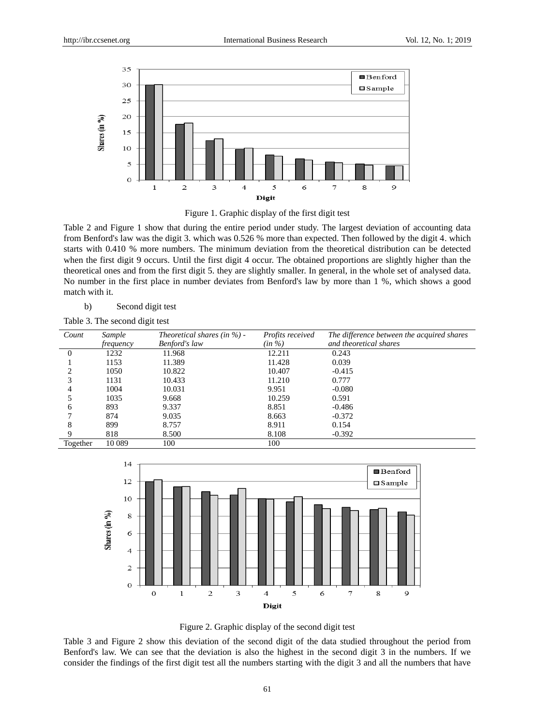



Table 2 and Figure 1 show that during the entire period under study. The largest deviation of accounting data from Benford's law was the digit 3. which was 0.526 % more than expected. Then followed by the digit 4. which starts with 0.410 % more numbers. The minimum deviation from the theoretical distribution can be detected when the first digit 9 occurs. Until the first digit 4 occur. The obtained proportions are slightly higher than the theoretical ones and from the first digit 5. they are slightly smaller. In general, in the whole set of analysed data. No number in the first place in number deviates from Benford's law by more than 1 %, which shows a good match with it.

b) Second digit test

| Count                         | Sample    | Theoretical shares (in $\%$ ) - | Profits received | The difference between the acquired shares |
|-------------------------------|-----------|---------------------------------|------------------|--------------------------------------------|
|                               | frequency | <b>Benford's law</b>            | (in %)           | and theoretical shares                     |
| $\Omega$                      | 1232      | 11.968                          | 12.211           | 0.243                                      |
|                               | 1153      | 11.389                          | 11.428           | 0.039                                      |
| $\mathfrak{D}_{\mathfrak{p}}$ | 1050      | 10.822                          | 10.407           | $-0.415$                                   |
| 3                             | 1131      | 10.433                          | 11.210           | 0.777                                      |
| 4                             | 1004      | 10.031                          | 9.951            | $-0.080$                                   |
|                               | 1035      | 9.668                           | 10.259           | 0.591                                      |
| 6                             | 893       | 9.337                           | 8.851            | -0.486                                     |
|                               | 874       | 9.035                           | 8.663            | $-0.372$                                   |
| 8                             | 899       | 8.757                           | 8.911            | 0.154                                      |
| 9                             | 818       | 8.500                           | 8.108            | $-0.392$                                   |
| Together                      | 10 0 89   | 100                             | 100              |                                            |



Figure 2. Graphic display of the second digit test

Table 3 and Figure 2 show this deviation of the second digit of the data studied throughout the period from Benford's law. We can see that the deviation is also the highest in the second digit 3 in the numbers. If we consider the findings of the first digit test all the numbers starting with the digit 3 and all the numbers that have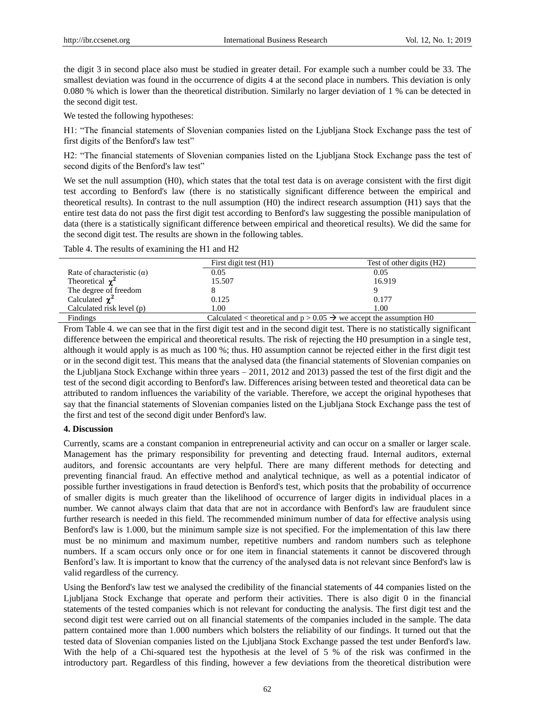the digit 3 in second place also must be studied in greater detail. For example such a number could be 33. The smallest deviation was found in the occurrence of digits 4 at the second place in numbers. This deviation is only 0.080 % which is lower than the theoretical distribution. Similarly no larger deviation of 1 % can be detected in the second digit test.

We tested the following hypotheses:

H1: "The financial statements of Slovenian companies listed on the Ljubljana Stock Exchange pass the test of first digits of the Benford's law test"

H2: "The financial statements of Slovenian companies listed on the Ljubljana Stock Exchange pass the test of second digits of the Benford's law test"

We set the null assumption (H0), which states that the total test data is on average consistent with the first digit test according to Benford's law (there is no statistically significant difference between the empirical and theoretical results). In contrast to the null assumption (H0) the indirect research assumption (H1) says that the entire test data do not pass the first digit test according to Benford's law suggesting the possible manipulation of data (there is a statistically significant difference between empirical and theoretical results). We did the same for the second digit test. The results are shown in the following tables.

Table 4. The results of examining the H1 and H2

|                                   | First digit test (H1)                                                           | Test of other digits (H2) |
|-----------------------------------|---------------------------------------------------------------------------------|---------------------------|
| Rate of characteristic $(\alpha)$ | 0.05                                                                            | 0.05                      |
| Theoretical $\chi^2$              | 15.507                                                                          | 16.919                    |
| The degree of freedom             |                                                                                 |                           |
| Calculated $\chi^2$               | 0.125                                                                           | 0.177                     |
| Calculated risk level (p)         | 1.00                                                                            | 1.00                      |
| Findings                          | Calculated < theoretical and $p > 0.05 \rightarrow$ we accept the assumption H0 |                           |

From Table 4. we can see that in the first digit test and in the second digit test. There is no statistically significant difference between the empirical and theoretical results. The risk of rejecting the H0 presumption in a single test, although it would apply is as much as 100 %; thus. H0 assumption cannot be rejected either in the first digit test or in the second digit test. This means that the analysed data (the financial statements of Slovenian companies on the Ljubljana Stock Exchange within three years – 2011, 2012 and 2013) passed the test of the first digit and the test of the second digit according to Benford's law. Differences arising between tested and theoretical data can be attributed to random influences the variability of the variable. Therefore, we accept the original hypotheses that say that the financial statements of Slovenian companies listed on the Ljubljana Stock Exchange pass the test of the first and test of the second digit under Benford's law.

## **4. Discussion**

Currently, scams are a constant companion in entrepreneurial activity and can occur on a smaller or larger scale. Management has the primary responsibility for preventing and detecting fraud. Internal auditors, external auditors, and forensic accountants are very helpful. There are many different methods for detecting and preventing financial fraud. An effective method and analytical technique, as well as a potential indicator of possible further investigations in fraud detection is Benford's test, which posits that the probability of occurrence of smaller digits is much greater than the likelihood of occurrence of larger digits in individual places in a number. We cannot always claim that data that are not in accordance with Benford's law are fraudulent since further research is needed in this field. The recommended minimum number of data for effective analysis using Benford's law is 1.000, but the minimum sample size is not specified. For the implementation of this law there must be no minimum and maximum number, repetitive numbers and random numbers such as telephone numbers. If a scam occurs only once or for one item in financial statements it cannot be discovered through Benford's law. It is important to know that the currency of the analysed data is not relevant since Benford's law is valid regardless of the currency.

Using the Benford's law test we analysed the credibility of the financial statements of 44 companies listed on the Ljubljana Stock Exchange that operate and perform their activities. There is also digit 0 in the financial statements of the tested companies which is not relevant for conducting the analysis. The first digit test and the second digit test were carried out on all financial statements of the companies included in the sample. The data pattern contained more than 1.000 numbers which bolsters the reliability of our findings. It turned out that the tested data of Slovenian companies listed on the Ljubljana Stock Exchange passed the test under Benford's law. With the help of a Chi-squared test the hypothesis at the level of 5 % of the risk was confirmed in the introductory part. Regardless of this finding, however a few deviations from the theoretical distribution were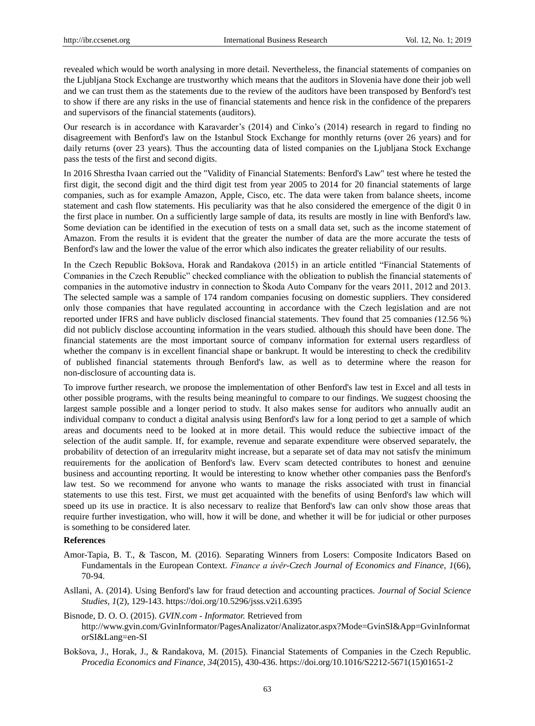revealed which would be worth analysing in more detail. Nevertheless, the financial statements of companies on the Ljubljana Stock Exchange are trustworthy which means that the auditors in Slovenia have done their job well and we can trust them as the statements due to the review of the auditors have been transposed by Benford's test to show if there are any risks in the use of financial statements and hence risk in the confidence of the preparers and supervisors of the financial statements (auditors).

Our research is in accordance with Karavarder's (2014) and Cinko's (2014) research in regard to finding no disagreement with Benford's law on the Istanbul Stock Exchange for monthly returns (over 26 years) and for daily returns (over 23 years). Thus the accounting data of listed companies on the Ljubljana Stock Exchange pass the tests of the first and second digits.

In 2016 Shrestha Ivaan carried out the "Validity of Financial Statements: Benford's Law" test where he tested the first digit, the second digit and the third digit test from year 2005 to 2014 for 20 financial statements of large companies, such as for example Amazon, Apple, Cisco, etc. The data were taken from balance sheets, income statement and cash flow statements. His peculiarity was that he also considered the emergence of the digit 0 in the first place in number. On a sufficiently large sample of data, its results are mostly in line with Benford's law. Some deviation can be identified in the execution of tests on a small data set, such as the income statement of Amazon. From the results it is evident that the greater the number of data are the more accurate the tests of Benford's law and the lower the value of the error which also indicates the greater reliability of our results.

In the Czech Republic Bokšova, Horak and Randakova (2015) in an article entitled "Financial Statements of Companies in the Czech Republic" checked compliance with the obligation to publish the financial statements of companies in the automotive industry in connection to Škoda Auto Company for the years 2011, 2012 and 2013. The selected sample was a sample of 174 random companies focusing on domestic suppliers. They considered only those companies that have regulated accounting in accordance with the Czech legislation and are not reported under IFRS and have publicly disclosed financial statements. They found that 25 companies (12.56 %) did not publicly disclose accounting information in the years studied. although this should have been done. The financial statements are the most important source of company information for external users regardless of whether the company is in excellent financial shape or bankrupt. It would be interesting to check the credibility of published financial statements through Benford's law, as well as to determine where the reason for non-disclosure of accounting data is.

To improve further research, we propose the implementation of other Benford's law test in Excel and all tests in other possible programs, with the results being meaningful to compare to our findings. We suggest choosing the largest sample possible and a longer period to study. It also makes sense for auditors who annually audit an individual company to conduct a digital analysis using Benford's law for a long period to get a sample of which areas and documents need to be looked at in more detail. This would reduce the subjective impact of the selection of the audit sample. If, for example, revenue and separate expenditure were observed separately, the probability of detection of an irregularity might increase, but a separate set of data may not satisfy the minimum requirements for the application of Benford's law. Every scam detected contributes to honest and genuine business and accounting reporting. It would be interesting to know whether other companies pass the Benford's law test. So we recommend for anyone who wants to manage the risks associated with trust in financial statements to use this test. First, we must get acquainted with the benefits of using Benford's law which will speed up its use in practice. It is also necessary to realize that Benford's law can only show those areas that require further investigation, who will, how it will be done, and whether it will be for judicial or other purposes is something to be considered later.

#### **References**

- Amor-Tapia, B. T., & Tascon, M. (2016). Separating Winners from Losers: Composite Indicators Based on Fundamentals in the European Context. *Finance a úvěr-Czech Journal of Economics and Finance, 1*(66), 70-94.
- Asllani, A. (2014). Using Benford's law for fraud detection and accounting practices. *Journal of Social Science Studies, 1*(2), 129-143. https://doi.org/10.5296/jsss.v2i1.6395
- Bisnode, D. O. O. (2015). *GVIN.com - Informator.* Retrieved from [http://www.gvin.com/GvinInformator/PagesAnalizator/Analizator.aspx?Mode=GvinSI&App=GvinInformat](https://translate.google.com/translate?hl=sl&prev=_t&sl=sl&tl=en&u=http://www.gvin.com/GvinInformator/PagesAnalizator/Analizator.aspx%3FMode%3DGvinSI%26App%3DGvinInformatorSI%26Lang%3Dsl-SI) [orSI&Lang=en-SI](https://translate.google.com/translate?hl=sl&prev=_t&sl=sl&tl=en&u=http://www.gvin.com/GvinInformator/PagesAnalizator/Analizator.aspx%3FMode%3DGvinSI%26App%3DGvinInformatorSI%26Lang%3Dsl-SI)
- Bokšova, J., Horak, J., & Randakova, M. (2015). Financial Statements of Companies in the Czech Republic. *Procedia Economics and Finance, 34*(2015), 430-436. https://doi.org/10.1016/S2212-5671(15)01651-2